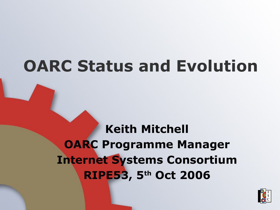#### **OARC Status and Evolution**

**Keith Mitchell OARC Programme Manager Internet Systems Consortium RIPE53, 5th Oct 2006**

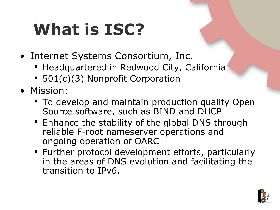## **What is ISC?**

- Internet Systems Consortium, Inc.
	- **Headquartered in Redwood City, California**
	- 501(c)(3) Nonprofit Corporation
- Mission:
	- **To develop and maintain production quality Open** Source software, such as BIND and DHCP
	- **Enhance the stability of the global DNS through** reliable F-root nameserver operations and ongoing operation of OARC
	- Further protocol development efforts, particularly in the areas of DNS evolution and facilitating the transition to IPv6.

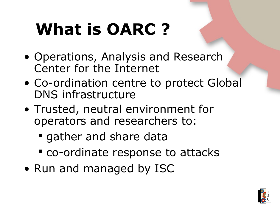## **What is OARC ?**

- Operations, Analysis and Research Center for the Internet
- Co-ordination centre to protect Global DNS infrastructure
- Trusted, neutral environment for operators and researchers to:
	- **qather and share data**
	- co-ordinate response to attacks
- Run and managed by ISC

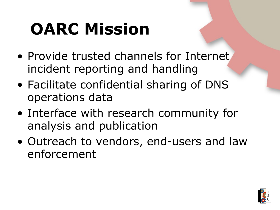## **OARC Mission**

- Provide trusted channels for Internet incident reporting and handling
- Facilitate confidential sharing of DNS operations data
- Interface with research community for analysis and publication
- Outreach to vendors, end-users and law enforcement

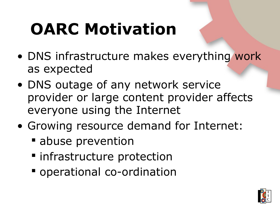## **OARC Motivation**

- DNS infrastructure makes everything work as expected
- DNS outage of any network service provider or large content provider affects everyone using the Internet
- Growing resource demand for Internet:
	- **E** abuse prevention
	- $\blacksquare$  infrastructure protection
	- operational co-ordination

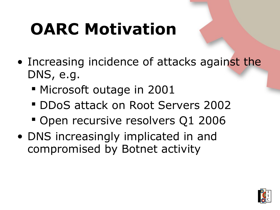## **OARC Motivation**

- Increasing incidence of attacks against the DNS, e.g.
	- **Microsoft outage in 2001**
	- **DDoS attack on Root Servers 2002**
	- **Open recursive resolvers Q1 2006**
- DNS increasingly implicated in and compromised by Botnet activity

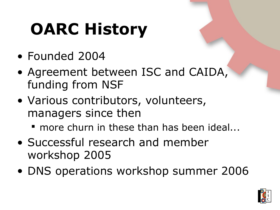# **OARC History**

- Founded 2004
- Agreement between ISC and CAIDA, funding from NSF
- Various contributors, volunteers, managers since then
	- **more churn in these than has been ideal...**
- Successful research and member workshop 2005
- DNS operations workshop summer 2006

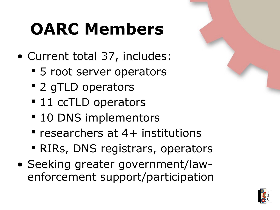## **OARC Members**

- Current total 37, includes:
	- **5** root server operators
	- 2 gTLD operators
	- 11 ccTLD operators
	- **10 DNS implementors**
	- researchers at 4+ institutions
	- RIRs, DNS registrars, operators
- Seeking greater government/lawenforcement support/participation

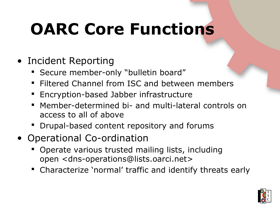## **OARC Core Functions**

- Incident Reporting
	- **Secure member-only "bulletin board"**
	- **Filtered Channel from ISC and between members**
	- **Encryption-based Jabber infrastructure**
	- Member-determined bi- and multi-lateral controls on access to all of above
	- **Drupal-based content repository and forums**
- Operational Co-ordination
	- **Operate various trusted mailing lists, including** open <dns-operations@lists.oarci.net>
	- Characterize 'normal' traffic and identify threats early

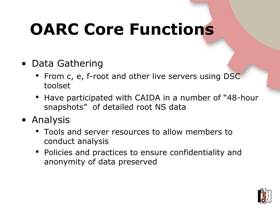## **OARC Core Functions**

- Data Gathering
	- **From c, e, f-root and other live servers using DSC** toolset
	- **Have participated with CAIDA in a number of "48-hour** snapshots" of detailed root NS data
- Analysis
	- Tools and server resources to allow members to conduct analysis
	- **Policies and practices to ensure confidentiality and** anonymity of data preserved

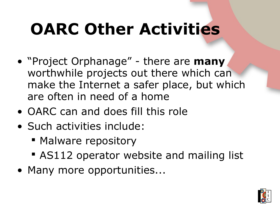## **OARC Other Activities**

- "Project Orphanage" there are **many** worthwhile projects out there which can make the Internet a safer place, but which are often in need of a home
- OARC can and does fill this role
- Such activities include:
	- Malware repository
	- **AS112 operator website and mailing list**
- Many more opportunities...

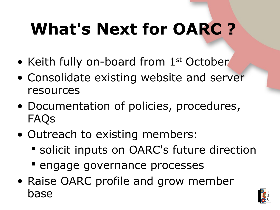# **What's Next for OARC ?**

- Keith fully on-board from 1<sup>st</sup> October
- Consolidate existing website and server resources
- Documentation of policies, procedures, FAQs
- Outreach to existing members:
	- solicit inputs on OARC's future direction
	- **Example governance processes**
- Raise OARC profile and grow member base

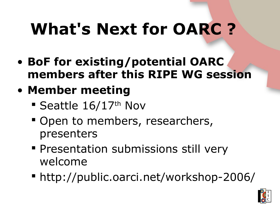## **What's Next for OARC ?**

- **BoF for existing/potential OARC members after this RIPE WG session**
- **Member meeting**
	- **Seattle 16/17th Nov**
	- Open to members, researchers, presenters
	- **Presentation submissions still very** welcome
	- http://public.oarci.net/workshop-2006/

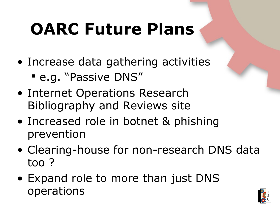## **OARC Future Plans**

- Increase data gathering activities
	- e.g. "Passive DNS"
- Internet Operations Research Bibliography and Reviews site
- Increased role in botnet & phishing prevention
- Clearing-house for non-research DNS data too ?
- Expand role to more than just DNS operations